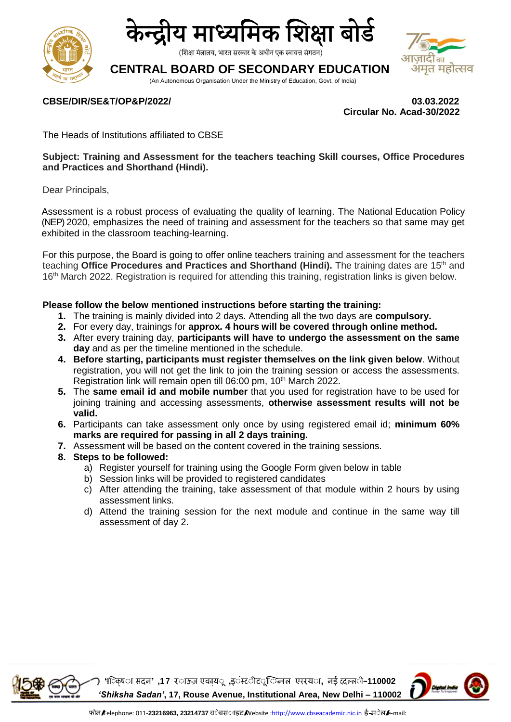



(शिक्षा मंत्रालय, भारत सरकार के अधीन एक स्वायत्त संगठन)

# **CENTRAL BOARD OF SECONDARY EDUCATION**

(An Autonomous Organisation Under the Ministry of Education, Govt. of India)

## **CBSE/DIR/SE&T/OP&P/2022/ 03.03.2022**

 **Circular No. Acad-30/2022**

 $\overline{h}$ अंमृत महोत्सव

The Heads of Institutions affiliated to CBSE

**Subject: Training and Assessment for the teachers teaching Skill courses, Office Procedures and Practices and Shorthand (Hindi).**

Dear Principals,

Assessment is a robust process of evaluating the quality of learning. The National Education Policy (NEP) 2020, emphasizes the need of training and assessment for the teachers so that same may get exhibited in the classroom teaching-learning.

For this purpose, the Board is going to offer online teachers training and assessment for the teachers teaching Office Procedures and Practices and Shorthand (Hindi). The training dates are 15<sup>th</sup> and 16<sup>th</sup> March 2022. Registration is required for attending this training, registration links is given below.

#### **Please follow the below mentioned instructions before starting the training:**

- **1.** The training is mainly divided into 2 days. Attending all the two days are **compulsory.**
- **2.** For every day, trainings for **approx. 4 hours will be covered through online method.**
- **3.** After every training day, **participants will have to undergo the assessment on the same day** and as per the timeline mentioned in the schedule.
- **4. Before starting, participants must register themselves on the link given below**. Without registration, you will not get the link to join the training session or access the assessments. Registration link will remain open till 06:00 pm, 10<sup>th</sup> March 2022.
- **5.** The **same email id and mobile number** that you used for registration have to be used for joining training and accessing assessments, **otherwise assessment results will not be valid.**
- **6.** Participants can take assessment only once by using registered email id; **minimum 60% marks are required for passing in all 2 days training.**
- **7.** Assessment will be based on the content covered in the training sessions.
- **8. Steps to be followed:**
	- a) Register yourself for training using the Google Form given below in table
	- b) Session links will be provided to registered candidates
	- c) After attending the training, take assessment of that module within 2 hours by using assessment links.
	- d) Attend the training session for the next module and continue in the same way till assessment of day 2.



**'शि क्ष सदन' ,1 <sup>7</sup> र ऊज़ एवन ्य ,इ स्ट ट ि नल एररय , नई ददल्ल –110002** *'Shiksha Sadan'***, 17, Rouse Avenue, Institutional Area, New Delhi – 110002**

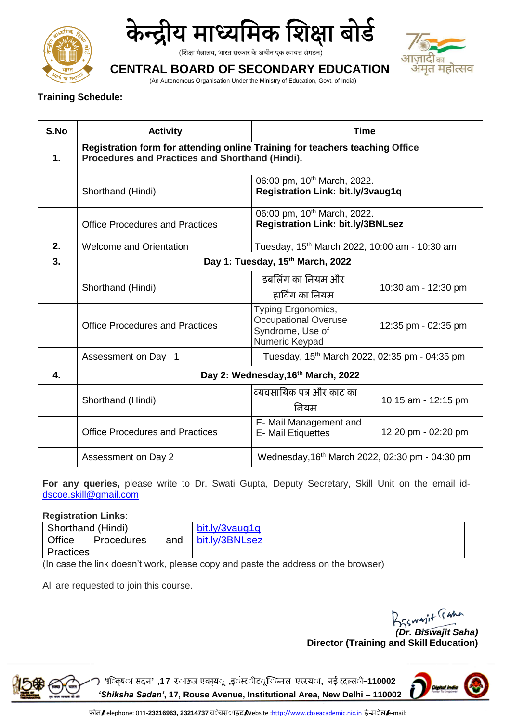



(शिक्षा मंत्रालय, भारत सरकार के अधीन एक स्वायत्त संगठन)



# **CENTRAL BOARD OF SECONDARY EDUCATION**

(An Autonomous Organisation Under the Ministry of Education, Govt. of India)

## **Training Schedule:**

| S.No | <b>Activity</b>                                                                                                                 | <b>Time</b>                                                                             |                     |  |
|------|---------------------------------------------------------------------------------------------------------------------------------|-----------------------------------------------------------------------------------------|---------------------|--|
| 1.   | Registration form for attending online Training for teachers teaching Office<br>Procedures and Practices and Shorthand (Hindi). |                                                                                         |                     |  |
|      | Shorthand (Hindi)                                                                                                               | 06:00 pm, 10 <sup>th</sup> March, 2022.<br>Registration Link: bit.ly/3vaug1q            |                     |  |
|      | <b>Office Procedures and Practices</b>                                                                                          | 06:00 pm, 10 <sup>th</sup> March, 2022.<br><b>Registration Link: bit.ly/3BNLsez</b>     |                     |  |
| 2.   | <b>Welcome and Orientation</b>                                                                                                  | Tuesday, 15 <sup>th</sup> March 2022, 10:00 am - 10:30 am                               |                     |  |
| 3.   | Day 1: Tuesday, 15th March, 2022                                                                                                |                                                                                         |                     |  |
|      | Shorthand (Hindi)                                                                                                               | डबलिंग का नियम और<br>हार्विंग का नियम                                                   | 10:30 am - 12:30 pm |  |
|      | <b>Office Procedures and Practices</b>                                                                                          | Typing Ergonomics,<br><b>Occupational Overuse</b><br>Syndrome, Use of<br>Numeric Keypad | 12:35 pm - 02:35 pm |  |
|      | Assessment on Day 1                                                                                                             | Tuesday, 15 <sup>th</sup> March 2022, 02:35 pm - 04:35 pm                               |                     |  |
| 4.   | Day 2: Wednesday, 16th March, 2022                                                                                              |                                                                                         |                     |  |
|      | Shorthand (Hindi)                                                                                                               | व्यवसायिक पत्र और काट का<br>नियम                                                        | 10:15 am - 12:15 pm |  |
|      | <b>Office Procedures and Practices</b>                                                                                          | E- Mail Management and<br><b>E-Mail Etiquettes</b>                                      | 12:20 pm - 02:20 pm |  |
|      | Assessment on Day 2                                                                                                             | Wednesday, 16th March 2022, 02:30 pm - 04:30 pm                                         |                     |  |

**For any queries,** please write to Dr. Swati Gupta, Deputy Secretary, Skill Unit on the email id[dscoe.skill@gmail.com](mailto:dscoe.skill@gmail.com)

## **Registration Links**:

| Shorthand (Hindi)           |     | bit.ly/3vaug1q |
|-----------------------------|-----|----------------|
| Office<br><b>Procedures</b> | and | bit.ly/3BNLsez |
| Practices                   |     |                |

(In case the link doesn't work, please copy and paste the address on the browser)

All are requested to join this course.

*(Dr. Biswajit Saha)*  **Director (Training and Skill Education)**



**'शि क्ष सदन' ,1 <sup>7</sup> र ऊज़ एवन ्य ,इ स्ट ट ि नल एररय , नई ददल्ल –110002** *'Shiksha Sadan'***, 17, Rouse Avenue, Institutional Area, New Delhi – 110002**